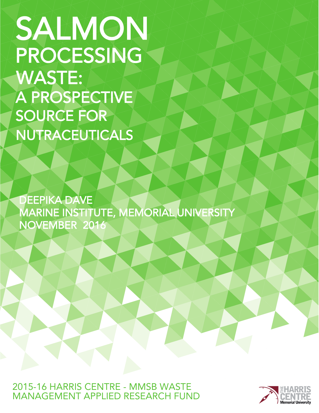SALMON PROCESSING **SOURCE FOR** NUTRACEUTICALS WASTE: A PROSPECTIVE

DEEPIKA DAVE MARINE INSTITUTE, MEMORIAL UNIVERSITY NOVEMBER 2016

2015-16 HARRIS CENTRE - MMSB WASTE MANAGFMENT APPLIED RESEARCH FUND

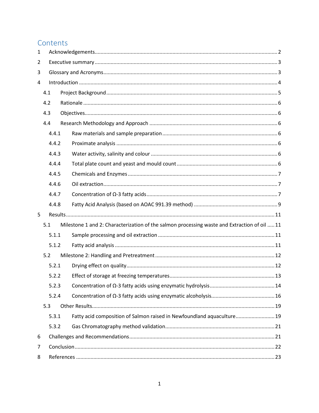# Contents

| $\mathbf{1}$   |     |       |                                                                                              |  |  |  |  |  |  |  |
|----------------|-----|-------|----------------------------------------------------------------------------------------------|--|--|--|--|--|--|--|
| $\overline{2}$ |     |       |                                                                                              |  |  |  |  |  |  |  |
| 3              |     |       |                                                                                              |  |  |  |  |  |  |  |
| 4              |     |       |                                                                                              |  |  |  |  |  |  |  |
|                | 4.1 |       |                                                                                              |  |  |  |  |  |  |  |
|                | 4.2 |       |                                                                                              |  |  |  |  |  |  |  |
|                | 4.3 |       |                                                                                              |  |  |  |  |  |  |  |
|                | 4.4 |       |                                                                                              |  |  |  |  |  |  |  |
|                |     | 4.4.1 |                                                                                              |  |  |  |  |  |  |  |
|                |     | 4.4.2 |                                                                                              |  |  |  |  |  |  |  |
|                |     | 4.4.3 |                                                                                              |  |  |  |  |  |  |  |
|                |     | 4.4.4 |                                                                                              |  |  |  |  |  |  |  |
|                |     | 4.4.5 |                                                                                              |  |  |  |  |  |  |  |
|                |     | 4.4.6 |                                                                                              |  |  |  |  |  |  |  |
|                |     | 4.4.7 |                                                                                              |  |  |  |  |  |  |  |
|                |     | 4.4.8 |                                                                                              |  |  |  |  |  |  |  |
| 5              |     |       |                                                                                              |  |  |  |  |  |  |  |
|                | 5.1 |       | Milestone 1 and 2: Characterization of the salmon processing waste and Extraction of oil  11 |  |  |  |  |  |  |  |
|                |     | 5.1.1 |                                                                                              |  |  |  |  |  |  |  |
|                |     | 5.1.2 |                                                                                              |  |  |  |  |  |  |  |
|                | 5.2 |       |                                                                                              |  |  |  |  |  |  |  |
|                |     | 5.2.1 |                                                                                              |  |  |  |  |  |  |  |
|                |     | 5.2.2 |                                                                                              |  |  |  |  |  |  |  |
|                |     | 5.2.3 |                                                                                              |  |  |  |  |  |  |  |
|                |     | 5.2.4 |                                                                                              |  |  |  |  |  |  |  |
|                | 5.3 |       |                                                                                              |  |  |  |  |  |  |  |
|                |     | 5.3.1 | Fatty acid composition of Salmon raised in Newfoundland aquaculture 19                       |  |  |  |  |  |  |  |
|                |     | 5.3.2 |                                                                                              |  |  |  |  |  |  |  |
| 6              |     |       |                                                                                              |  |  |  |  |  |  |  |
| 7              |     |       |                                                                                              |  |  |  |  |  |  |  |
| 8              |     |       |                                                                                              |  |  |  |  |  |  |  |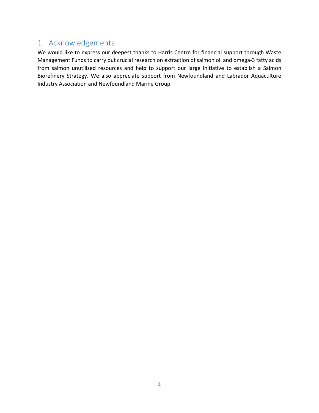# 1 Acknowledgements

We would like to express our deepest thanks to Harris Centre for financial support through Waste Management Funds to carry out crucial research on extraction of salmon oil and omega-3 fatty acids from salmon unutilized resources and help to support our large initiative to establish a Salmon Biorefinery Strategy. We also appreciate support from Newfoundland and Labrador Aquaculture Industry Association and Newfoundland Marine Group.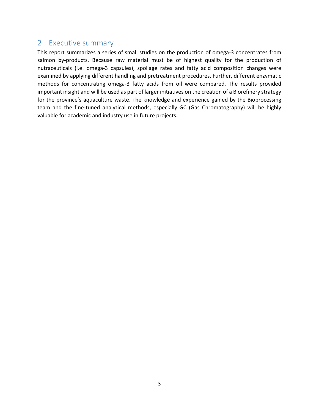# 2 Executive summary

This report summarizes a series of small studies on the production of omega-3 concentrates from salmon by-products. Because raw material must be of highest quality for the production of nutraceuticals (i.e. omega-3 capsules), spoilage rates and fatty acid composition changes were examined by applying different handling and pretreatment procedures. Further, different enzymatic methods for concentrating omega-3 fatty acids from oil were compared. The results provided important insight and will be used as part of larger initiatives on the creation of a Biorefinery strategy for the province's aquaculture waste. The knowledge and experience gained by the Bioprocessing team and the fine-tuned analytical methods, especially GC (Gas Chromatography) will be highly valuable for academic and industry use in future projects.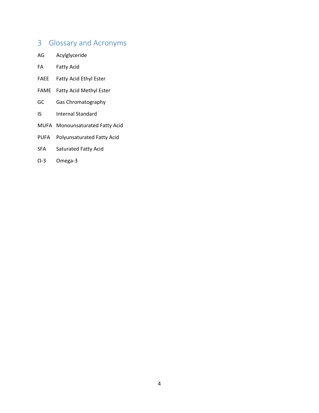# 3 Glossary and Acronyms

- AG Acylglyceride
- FA Fatty Acid
- FAEE Fatty Acid Ethyl Ester
- FAME Fatty Acid Methyl Ester
- GC Gas Chromatography
- IS Internal Standard
- MUFA Monounsaturated Fatty Acid
- PUFA Polyunsaturated Fatty Acid
- SFA Saturated Fatty Acid
- Ω-3 Omega-3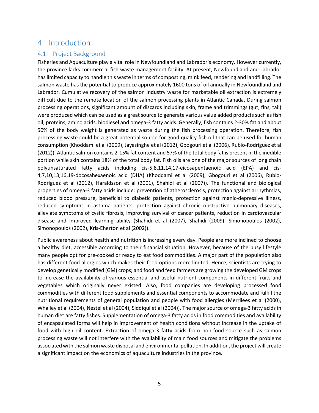# 4 Introduction

### 4.1 Project Background

Fisheries and Aquaculture play a vital role in Newfoundland and Labrador's economy. However currently, the province lacks commercial fish waste management facility. At present, Newfoundland and Labrador has limited capacity to handle this waste in terms of composting, mink feed, rendering and landfilling. The salmon waste has the potential to produce approximately 1600 tons of oil annually in Newfoundland and Labrador. Cumulative recovery of the salmon industry waste for marketable oil extraction is extremely difficult due to the remote location of the salmon processing plants in Atlantic Canada. During salmon processing operations, significant amount of discards including skin, frame and trimmings (gut, fins, tail) were produced which can be used as a great source to generate various value added products such as fish oil, proteins, amino acids, biodiesel and omega-3 fatty acids. Generally, fish contains 2-30% fat and about 50% of the body weight is generated as waste during the fish processing operation. Therefore, fish processing waste could be a great potential source for good quality fish oil that can be used for human consumption (Khoddami et al (2009), Jayasinghe et al (2012), Gbogouri et al (2006), Rubio-Rodriguez et al (2012)). Atlantic salmon contains 2-15% fat content and 57% of the total body fat is present in the inedible portion while skin contains 18% of the total body fat. Fish oils are one of the major sources of long chain polyunsaturated fatty acids including cis-5,8,11,14,17-eicosapentaenoic acid (EPA) and cis-4,7,10,13,16,19-docosahexaenoic acid (DHA) (Khoddami et al (2009), Gbogouri et al (2006), Rubio-Rodriguez et al (2012), Haraldsson et al (2001), Shahidi et al (2007)). The functional and biological properties of omega-3 fatty acids include: prevention of atherosclerosis, protection against arrhythmias, reduced blood pressure, beneficial to diabetic patients, protection against manic-depressive illness, reduced symptoms in asthma patients, protection against chronic obstructive pulmonary diseases, alleviate symptoms of cystic fibrosis, improving survival of cancer patients, reduction in cardiovascular disease and improved learning ability (Shahidi et al (2007), Shahidi (2009), Simonopoulos (2002), Simonopoulos (2002), Kris-Eherton et al (2002)).

Public awareness about health and nutrition is increasing every day. People are more inclined to choose a healthy diet, accessible according to their financial situation. However, because of the busy lifestyle many people opt for pre-cooked or ready to eat food commodities. A major part of the population also has different food allergies which makes their food options more limited. Hence, scientists are trying to develop genetically modified (GM) crops; and food and feed farmers are growing the developed GM crops to increase the availability of various essential and useful nutrient components in different fruits and vegetables which originally never existed. Also, food companies are developing processed food commodities with different food supplements and essential components to accommodate and fulfill the nutritional requirements of general population and people with food allergies (Merrilees et al (2000), Whalley et al (2004), Nestel et al (2004), Siddiqui et al (2004)). The major source of omega-3 fatty acids in human diet are fatty fishes. Supplementation of omega-3 fatty acids in food commodities and availability of encapsulated forms will help in improvement of health conditions without increase in the uptake of food with high oil content. Extraction of omega-3 fatty acids from non-food source such as salmon processing waste will not interfere with the availability of main food sources and mitigate the problems associated with the salmon waste disposal and environmental pollution. In addition, the project will create a significant impact on the economics of aquaculture industries in the province.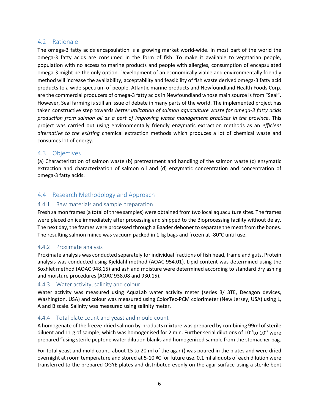### 4.2 Rationale

The omega-3 fatty acids encapsulation is a growing market world-wide. In most part of the world the omega-3 fatty acids are consumed in the form of fish. To make it available to vegetarian people, population with no access to marine products and people with allergies, consumption of encapsulated omega-3 might be the only option. Development of an economically viable and environmentally friendly method will increase the availability, acceptability and feasibility of fish waste derived omega-3 fatty acid products to a wide spectrum of people. Atlantic marine products and Newfoundland Health Foods Corp. are the commercial producers of omega-3 fatty acids in Newfoundland whose main source is from "Seal". However, Seal farming is still an issue of debate in many parts of the world. The implemented project has taken constructive step towards *better utilization of salmon aquaculture waste for omega-3 fatty acids production from salmon oil as a part of improving waste management practices in the province*. This project was carried out using environmentally friendly enzymatic extraction methods as an *efficient alternative to the existing* chemical extraction methods which produces a lot of chemical waste and consumes lot of energy.

### 4.3 Objectives

(a) Characterization of salmon waste (b) pretreatment and handling of the salmon waste (c) enzymatic extraction and characterization of salmon oil and (d) enzymatic concentration and concentration of omega-3 fatty acids.

### 4.4 Research Methodology and Approach

### 4.4.1 Raw materials and sample preparation

Fresh salmon frames (a total of three samples) were obtained from two local aquaculture sites. The frames were placed on ice immediately after processing and shipped to the Bioprocessing facility without delay. The next day, the frames were processed through a Baader deboner to separate the meat from the bones. The resulting salmon mince was vacuum packed in 1 kg bags and frozen at -80°C until use.

#### 4.4.2 Proximate analysis

Proximate analysis was conducted separately for individual fractions of fish head, frame and guts. Protein analysis was conducted using Kjeldahl method (AOAC 954.01). Lipid content was determined using the Soxhlet method (AOAC 948.15) and ash and moisture were determined according to standard dry ashing and moisture procedures (AOAC 938.08 and 930.15).

#### 4.4.3 Water activity, salinity and colour

Water activity was measured using AquaLab water activity meter (series 3/ 3TE, Decagon devices, Washington, USA) and colour was measured using ColorTec-PCM colorimeter (New Jersey, USA) using L, A and B scale. Salinity was measured using salinity meter.

#### 4.4.4 Total plate count and yeast and mould count

A homogenate of the freeze-dried salmon by-products mixture was prepared by combining 99ml of sterile diluent and 11 g of sample, which was homogenised for 2 min. Further serial dilutions of 10<sup>-2</sup>to 10<sup>-7</sup> were prepared "using sterile peptone water dilution blanks and homogenized sample from the stomacher bag.

For total yeast and mold count, about 15 to 20 ml of the agar () was poured in the plates and were dried overnight at room temperature and stored at 5-10 ºC for future use. 0.1 ml aliquots of each dilution were transferred to the prepared OGYE plates and distributed evenly on the agar surface using a sterile bent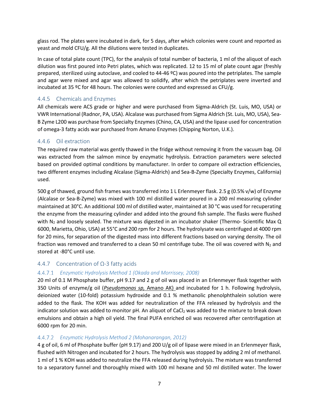glass rod. The plates were incubated in dark, for 5 days, after which colonies were count and reported as yeast and mold CFU/g. All the dilutions were tested in duplicates.

In case of total plate count (TPC), for the analysis of total number of bacteria, 1 ml of the aliquot of each dilution was first poured into Petri plates, which was replicated. 12 to 15 ml of plate count agar (freshly prepared, sterilized using autoclave, and cooled to 44-46 ºC) was poured into the petriplates. The sample and agar were mixed and agar was allowed to solidify, after which the petriplates were inverted and incubated at 35 ºC for 48 hours. The colonies were counted and expressed as CFU/g.

### 4.4.5 Chemicals and Enzymes

All chemicals were ACS grade or higher and were purchased from Sigma-Aldrich (St. Luis, MO, USA) or VWR International (Radnor, PA, USA). Alcalase was purchased from Sigma Aldrich (St. Luis, MO, USA), Sea-B Zyme L200 was purchase from Specialty Enzymes (Chino, CA, USA) and the lipase used for concentration of omega-3 fatty acids war purchased from Amano Enzymes (Chipping Norton, U.K.).

#### 4.4.6 Oil extraction

The required raw material was gently thawed in the fridge without removing it from the vacuum bag. Oil was extracted from the salmon mince by enzymatic hydrolysis. Extraction parameters were selected based on provided optimal conditions by manufacturer. In order to compare oil extraction efficiencies, two different enzymes including Alcalase (Sigma-Aldrich) and Sea-B-Zyme (Specialty Enzymes, California) used.

500 g of thawed, ground fish frames was transferred into 1 L Erlenmeyer flask. 2.5 g (0.5% v/w) of Enzyme (Alcalase or Sea-B-Zyme) was mixed with 100 ml distilled water poured in a 200 ml measuring cylinder maintained at 30°C. An additional 100 ml of distilled water, maintained at 30 °C was used for recuperating the enzyme from the measuring cylinder and added into the ground fish sample. The flasks were flushed with N<sub>2</sub> and loosely sealed. The mixture was digested in an incubator shaker (Thermo- Scientific Max Q 6000, Marietta, Ohio, USA) at 55°C and 200 rpm for 2 hours. The hydrolysate was centrifuged at 4000 rpm for 20 mins, for separation of the digested mass into different fractions based on varying density. The oil fraction was removed and transferred to a clean 50 ml centrifuge tube. The oil was covered with  $N_2$  and stored at -80°C until use.

#### 4.4.7 Concentration of Ω-3 fatty acids

#### *Enzymatic Hydrolysis Method 1 (Okada and Morrissey, 2008)*

20 ml of 0.1 M Phosphate buffer, pH 9.17 and 2 g of oil was placed in an Erlenmeyer flask together with 350 Units of enzyme/g oil (*Pseudomonas sp,* Amano AK) and incubated for 1 h. Following hydrolysis, deionized water (10-fold) potassium hydroxide and 0.1 % methanolic phenolphthalein solution were added to the flask. The KOH was added for neutralization of the FFA released by hydrolysis and the indicator solution was added to monitor pH. An aliquot of CaCl<sub>2</sub> was added to the mixture to break down emulsions and obtain a high oil yield. The final PUFA enriched oil was recovered after centrifugation at 6000 rpm for 20 min.

#### *Enzymatic Hydrolysis Method 2 (Mohanarangan, 2012)*

4 g of oil, 6 ml of Phosphate buffer (pH 9.17) and 200 U/g oil of lipase were mixed in an Erlenmeyer flask, flushed with Nitrogen and incubated for 2 hours. The hydrolysis was stopped by adding 2 ml of methanol. 1 ml of 1 % KOH was added to neutralize the FFA released during hydrolysis. The mixture was transferred to a separatory funnel and thoroughly mixed with 100 ml hexane and 50 ml distilled water. The lower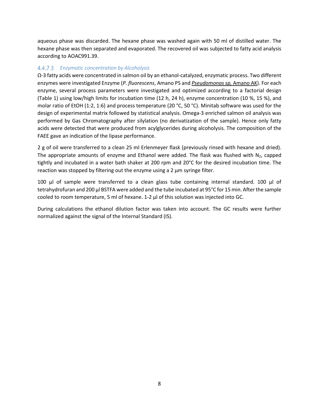aqueous phase was discarded. The hexane phase was washed again with 50 ml of distilled water. The hexane phase was then separated and evaporated. The recovered oil was subjected to fatty acid analysis according to AOAC991.39.

#### *Enzymatic concentration by Alcoholysis*

Ω-3 fatty acids were concentrated in salmon oil by an ethanol-catalyzed, enzymatic process. Two different enzymes were investigated Enzyme (*P. fluorescens*, Amano PS and *Pseudomonas sp,* Amano AK). For each enzyme, several process parameters were investigated and optimized according to a factorial design (Table 1) using low/high limits for incubation time (12 h, 24 h), enzyme concentration (10 %, 15 %), and molar ratio of EtOH (1:2, 1:6) and process temperature (20 °C, 50 °C). Minitab software was used for the design of experimental matrix followed by statistical analysis. Omega-3 enriched salmon oil analysis was performed by Gas Chromatography after silylation (no derivatization of the sample). Hence only fatty acids were detected that were produced from acylglycerides during alcoholysis. The composition of the FAEE gave an indication of the lipase performance.

2 g of oil were transferred to a clean 25 ml Erlenmeyer flask (previously rinsed with hexane and dried). The appropriate amounts of enzyme and Ethanol were added. The flask was flushed with  $N_2$ , capped tightly and incubated in a water bath shaker at 200 rpm and 20°C for the desired incubation time. The reaction was stopped by filtering out the enzyme using a 2 µm syringe filter.

100  $\mu$ l of sample were transferred to a clean glass tube containing internal standard. 100  $\mu$ l of tetrahydrofuran and 200 µl BSTFA were added and the tube incubated at 95°C for 15 min. After the sample cooled to room temperature, 5 ml of hexane. 1-2 µl of this solution was injected into GC.

During calculations the ethanol dilution factor was taken into account. The GC results were further normalized against the signal of the Internal Standard (IS).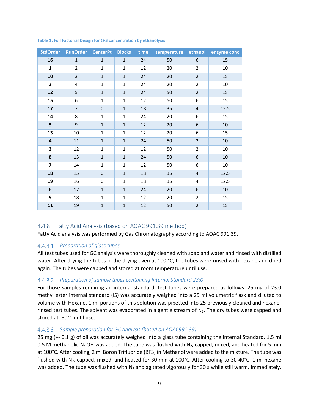| <b>StdOrder</b>         | <b>RunOrder</b> | <b>CenterPt</b>     | <b>Blocks</b> | time | temperature | ethanol                 | enzyme conc |
|-------------------------|-----------------|---------------------|---------------|------|-------------|-------------------------|-------------|
| 16                      | $\mathbf{1}$    | $\mathbf{1}$        | $\mathbf{1}$  | 24   | 50          | 6                       | 15          |
| $\mathbf{1}$            | $\overline{2}$  | $\mathbf{1}$        | $\mathbf{1}$  | 12   | 20          | $\overline{2}$          | 10          |
| 10                      | 3               | $\overline{1}$      | $\mathbf{1}$  | 24   | 20          | $\overline{2}$          | 15          |
| $\overline{2}$          | 4               | $\mathbf{1}$        | $\mathbf{1}$  | 24   | 20          | $\overline{2}$          | 10          |
| 12                      | 5               | $\mathbf{1}$        | $\mathbf{1}$  | 24   | 50          | $\overline{2}$          | 15          |
| 15                      | 6               | $\mathbf{1}$        | $\mathbf{1}$  | 12   | 50          | 6                       | 15          |
| 17                      | $\overline{7}$  | 0                   | $\mathbf{1}$  | 18   | 35          | $\overline{\mathbf{4}}$ | 12.5        |
| 14                      | 8               | $\mathbf{1}$        | $\mathbf 1$   | 24   | 20          | 6                       | 15          |
| 5                       | $\mathsf g$     | $\mathbf 1$         | $\mathbf{1}$  | 12   | 20          | 6                       | 10          |
| 13                      | 10              | $\mathbf{1}$        | $\mathbf{1}$  | 12   | 20          | 6                       | 15          |
| $\overline{\mathbf{4}}$ | 11              | $\mathbf{1}$        | $\mathbf{1}$  | 24   | 50          | $\overline{2}$          | 10          |
| 3                       | 12              | $\mathbf{1}$        | $\mathbf{1}$  | 12   | 50          | $\overline{2}$          | 10          |
| 8                       | 13              | $\mathbf{1}$        | $\mathbf{1}$  | 24   | 50          | 6                       | $10\,$      |
| $\overline{\mathbf{z}}$ | 14              | $\mathbf{1}$        | $\mathbf{1}$  | 12   | 50          | 6                       | $10\,$      |
| 18                      | 15              | $\mathsf{O}\xspace$ | $\mathbf{1}$  | 18   | 35          | 4                       | 12.5        |
| 19                      | 16              | 0                   | $\mathbf{1}$  | 18   | 35          | 4                       | 12.5        |
| $6\phantom{1}6$         | 17              | $\mathbf{1}$        | $\mathbf{1}$  | 24   | 20          | 6                       | 10          |
| 9                       | 18              | $\mathbf{1}$        | $\mathbf{1}$  | 12   | 20          | $\overline{2}$          | 15          |
| 11                      | 19              | $\overline{1}$      | $\mathbf{1}$  | 12   | 50          | $\overline{2}$          | 15          |

#### **Table 1: Full Factorial Design for Ω-3 concentration by ethanolysis**

#### 4.4.8 Fatty Acid Analysis (based on AOAC 991.39 method)

Fatty Acid analysis was performed by Gas Chromatography according to AOAC 991.39.

#### *Preparation of glass tubes*

All test tubes used for GC analysis were thoroughly cleaned with soap and water and rinsed with distilled water. After drying the tubes in the drying oven at 100 °C, the tubes were rinsed with hexane and dried again. The tubes were capped and stored at room temperature until use.

#### *Preparation of sample tubes containing Internal Standard 23:0*

For those samples requiring an internal standard, test tubes were prepared as follows: 25 mg of 23:0 methyl ester internal standard (IS) was accurately weighed into a 25 ml volumetric flask and diluted to volume with Hexane. 1 ml portions of this solution was pipetted into 25 previously cleaned and hexanerinsed test tubes. The solvent was evaporated in a gentle stream of  $N<sub>2</sub>$ . The dry tubes were capped and stored at -80°C until use.

#### *Sample preparation for GC analysis (based on AOAC991.39)*

25 mg (+- 0.1 g) of oil was accurately weighed into a glass tube containing the Internal Standard. 1.5 ml 0.5 M methanolic NaOH was added. The tube was flushed with  $N_2$ , capped, mixed, and heated for 5 min at 100°C. After cooling, 2 ml Boron Trifluoride (BF3) in Methanol were added to the mixture. The tube was flushed with N<sub>2</sub>, capped, mixed, and heated for 30 min at  $100^{\circ}$ C. After cooling to 30-40 $^{\circ}$ C, 1 ml hexane was added. The tube was flushed with  $N_2$  and agitated vigorously for 30 s while still warm. Immediately,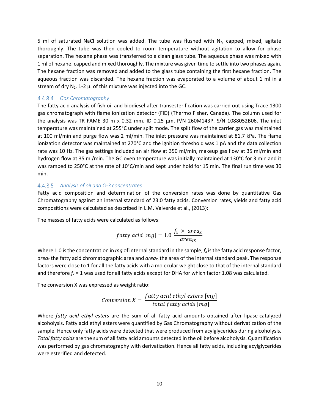5 ml of saturated NaCl solution was added. The tube was flushed with  $N_2$ , capped, mixed, agitate thoroughly. The tube was then cooled to room temperature without agitation to allow for phase separation. The hexane phase was transferred to a clean glass tube. The aqueous phase was mixed with 1 ml of hexane, capped and mixed thoroughly. The mixture was given time to settle into two phases again. The hexane fraction was removed and added to the glass tube containing the first hexane fraction. The aqueous fraction was discarded. The hexane fraction was evaporated to a volume of about 1 ml in a stream of dry  $N_2$ . 1-2  $\mu$  of this mixture was injected into the GC.

#### *Gas Chromatography*

The fatty acid analysis of fish oil and biodiesel after transesterification was carried out using Trace 1300 gas chromatograph with flame ionization detector (FID) (Thermo Fisher, Canada). The column used for the analysis was TR FAME 30 m x 0.32 mm, ID 0.25 µm, P/N 260M143P, S/N 1088052B06. The inlet temperature was maintained at 255°C under spilt mode. The spilt flow of the carrier gas was maintained at 100 ml/min and purge flow was 2 ml/min. The inlet pressure was maintained at 81.7 kPa. The flame ionization detector was maintained at 270°C and the ignition threshold was 1 pA and the data collection rate was 10 Hz. The gas settings included an air flow at 350 ml/min, makeup gas flow at 35 ml/min and hydrogen flow at 35 ml/min. The GC oven temperature was initially maintained at 130°C for 3 min and it was ramped to 250°C at the rate of 10°C/min and kept under hold for 15 min. The final run time was 30 min.

#### *Analysis of oil and Ω-3 concentrates*

Fatty acid composition and determination of the conversion rates was done by quantitative Gas Chromatography against an internal standard of 23:0 fatty acids. Conversion rates, yields and fatty acid compositions were calculated as described in L.M. Valverde et al., (2013):

The masses of fatty acids were calculated as follows:

$$
fatty \ acid \ [mg] = 1.0 \ \frac{f_x \times \ area_x}{\ area_{IS}}
$$

Where 1.0 is the concentration in *mg* of internal standard in the sample,  $f_x$  is the fatty acid response factor, *area<sub>x</sub>* the fatty acid chromatographic area and *area<sub>IS</sub>* the area of the internal standard peak. The response factors were close to 1 for all the fatty acids with a molecular weight close to that of the internal standard and therefore  $f_x = 1$  was used for all fatty acids except for DHA for which factor 1.08 was calculated.

The conversion X was expressed as weight ratio:

$$
Conversion X = \frac{fatty \ acid \ ethyl \ esters \ [mg]}{\ total \ fatty \ acids \ [mg]}
$$

Where *fatty acid ethyl esters* are the sum of all fatty acid amounts obtained after lipase-catalyzed alcoholysis. Fatty acid ethyl esters were quantified by Gas Chromatography without derivatization of the sample. Hence only fatty acids were detected that were produced from acylglycerides during alcoholysis. *Total fatty acids* are the sum of all fatty acid amounts detected in the oil before alcoholysis. Quantification was performed by gas chromatography with derivatization. Hence all fatty acids, including acylglycerides were esterified and detected.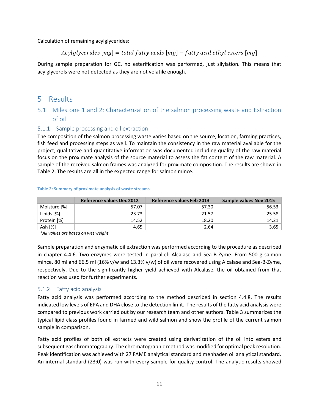Calculation of remaining acylglycerides:

### $A \ncylglycerides [mg] = total fatty acids [mg] - fatty acid ethyl esters [mg]$

During sample preparation for GC, no esterification was performed, just silylation. This means that acylglycerols were not detected as they are not volatile enough.

## 5 Results

## 5.1 Milestone 1 and 2: Characterization of the salmon processing waste and Extraction of oil

#### 5.1.1 Sample processing and oil extraction

The composition of the salmon processing waste varies based on the source, location, farming practices, fish feed and processing steps as well. To maintain the consistency in the raw material available for the project, qualitative and quantitative information was documented including quality of the raw material focus on the proximate analysis of the source material to assess the fat content of the raw material. A sample of the received salmon frames was analyzed for proximate composition. The results are shown in Table 2. The results are all in the expected range for salmon mince.

|              | <b>Reference values Dec 2012</b> | <b>Reference values Feb 2013</b> | <b>Sample values Nov 2015</b> |
|--------------|----------------------------------|----------------------------------|-------------------------------|
| Moisture [%] | 57.07                            | 57.30                            | 56.53                         |
| Lipids [%]   | 23.73                            | 21.57                            | 25.58                         |
| Protein [%]  | 14.52                            | 18.20                            | 14.21                         |
| Ash [%]      | 4.65                             | 2.64                             | 3.65                          |

#### **Table 2: Summary of proximate analysis of waste streams**

*\*All values are based on wet weight*

Sample preparation and enzymatic oil extraction was performed according to the procedure as described in chapter 4.4.6. Two enzymes were tested in parallel: Alcalase and Sea-B-Zyme. From 500 g salmon mince, 80 ml and 66.5 ml (16% v/w and 13.3% v/w) of oil were recovered using Alcalase and Sea-B-Zyme, respectively. Due to the significantly higher yield achieved with Alcalase, the oil obtained from that reaction was used for further experiments.

#### 5.1.2 Fatty acid analysis

Fatty acid analysis was performed according to the method described in section 4.4.8. The results indicated low levels of EPA and DHA close to the detection limit. The results of the fatty acid analysis were compared to previous work carried out by our research team and other authors. Table 3 summarizes the typical lipid class profiles found in farmed and wild salmon and show the profile of the current salmon sample in comparison.

Fatty acid profiles of both oil extracts were created using derivatization of the oil into esters and subsequent gas chromatography. The chromatographic method was modified for optimal peak resolution. Peak identification was achieved with 27 FAME analytical standard and menhaden oil analytical standard. An internal standard (23:0) was run with every sample for quality control. The analytic results showed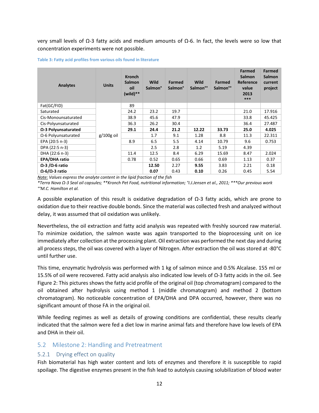very small levels of  $Ω$ -3 fatty acids and medium amounts of  $Ω$ -6. In fact, the levels were so low that concentration experiments were not possible.

#### **Table 3: Fatty acid profiles from various oils found in literature**

| <b>Analytes</b>             | <b>Units</b> | <b>Kronch</b><br><b>Salmon</b><br>oil<br>$(wild)**$ | <b>Wild</b><br><b>Salmon</b> ° | <b>Farmed</b><br><b>Salmon</b> ° | <b>Wild</b><br>Salmon <sup>oo</sup> | <b>Farmed</b><br>Salmon <sup>oo</sup> | <b>Farmed</b><br><b>Salmon</b><br>Reference<br>value<br>2013<br>*** | <b>Farmed</b><br><b>Salmon</b><br>current<br>project |
|-----------------------------|--------------|-----------------------------------------------------|--------------------------------|----------------------------------|-------------------------------------|---------------------------------------|---------------------------------------------------------------------|------------------------------------------------------|
| Fat(GC/FID)                 |              | 89                                                  |                                |                                  |                                     |                                       |                                                                     |                                                      |
| Saturated                   |              | 24.2                                                | 23.2                           | 19.7                             |                                     |                                       | 21.0                                                                | 17.916                                               |
| Cis-Monounsaturated         |              | 38.9                                                | 45.6                           | 47.9                             |                                     |                                       | 33.8                                                                | 45.425                                               |
| Cis-Polyunsaturated         |              | 36.3                                                | 26.2                           | 30.4                             |                                     |                                       | 36.4                                                                | 27.487                                               |
| $\Omega$ -3 Polyunsaturated |              | 29.1                                                | 24.4                           | 21.2                             | 12.22                               | 33.73                                 | 25.0                                                                | 4.025                                                |
| $\Omega$ -6 Polyunsaturated | g/100g oil   |                                                     | 1.7                            | 9.1                              | 1.28                                | 8.8                                   | 11.3                                                                | 22.311                                               |
| EPA (20:5 n-3)              |              | 8.9                                                 | 6.5                            | 5.5                              | 4.14                                | 10.79                                 | 9.6                                                                 | 0.753                                                |
| DPA (22:5 n-3)              |              |                                                     | 2.5                            | 2.8                              | 1.2                                 | 5.19                                  | 4.39                                                                |                                                      |
| DHA (22:6 n-3)              |              | 11.4                                                | 12.5                           | 8.4                              | 6.29                                | 15.69                                 | 8.47                                                                | 2.024                                                |
| <b>EPA/DHA ratio</b>        |              | 0.78                                                | 0.52                           | 0.65                             | 0.66                                | 0.69                                  | 1.13                                                                | 0.37                                                 |
| $Ω$ -3 / $Ω$ -6 ratio       |              |                                                     | 12.50                          | 2.27                             | 9.55                                | 3.83                                  | 2.21                                                                | 0.18                                                 |
| $Ω$ -6/ $Ω$ -3 ratio        |              |                                                     | 0.07                           | 0.43                             | 0.10                                | 0.26                                  | 0.45                                                                | 5.54                                                 |

*Note: Values express the analyte content in the lipid fraction of the fish*

*\*Terra Nova Ω-3 Seal oil capsules; \*\*Kronch Pet Food, nutritional information; °I.J.Jensen et al., 2011; \*\*\*Our previous work °°M.C. Hamilton et al.*

A possible explanation of this result is oxidative degradation of Ω-3 fatty acids, which are prone to oxidation due to their reactive double bonds. Since the material was collected fresh and analyzed without delay, it was assumed that oil oxidation was unlikely.

Nevertheless, the oil extraction and fatty acid analysis was repeated with freshly sourced raw material. To minimize oxidation, the salmon waste was again transported to the bioprocessing unit on ice immediately after collection at the processing plant. Oil extraction was performed the next day and during all process steps, the oil was covered with a layer of Nitrogen. After extraction the oil was stored at -80°C until further use.

This time, enzymatic hydrolysis was performed with 1 kg of salmon mince and 0.5% Alcalase. 155 ml or 15.5% of oil were recovered. Fatty acid analysis also indicated low levels of Ω-3 fatty acids in the oil. See Figure 2: This pictures shows the fatty acid profile of the original oil (top chromatogram) compared to the oil obtained after hydrolysis using method 1 (middle chromatogram) and method 2 (bottom chromatogram). No noticeable concentration of EPA/DHA and DPA occurred, however, there was no significant amount of those FA in the original oil.

While feeding regimes as well as details of growing conditions are confidential, these results clearly indicated that the salmon were fed a diet low in marine animal fats and therefore have low levels of EPA and DHA in their oil.

#### 5.2 Milestone 2: Handling and Pretreatment

#### 5.2.1 Drying effect on quality

Fish biomaterial has high water content and lots of enzymes and therefore it is susceptible to rapid spoilage. The digestive enzymes present in the fish lead to autolysis causing solubilization of blood water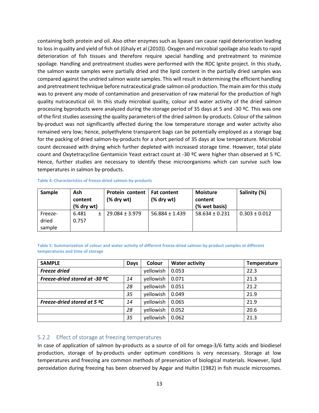containing both protein and oil. Also other enzymes such as lipases can cause rapid deterioration leading to loss in quality and yield of fish oil (Ghaly et al (2010)). Oxygen and microbial spoilage also leads to rapid deterioration of fish tissues and therefore require special handling and pretreatment to minimize spoilage. Handling and pretreatment studies were performed with the RDC Ignite project. In this study, the salmon waste samples were partially dried and the lipid content in the partially dried samples was compared against the undried salmon waste samples. This will result in determining the efficient handling and pretreatment technique before nutraceutical grade salmon oil production. The main aim for this study was to prevent any mode of contamination and preservation of raw material for the production of high quality nutraceutical oil. In this study microbial quality, colour and water activity of the dried salmon processing byproducts were analyzed during the storage period of 35 days at 5 and -30 ºC. This was one of the first studies assessing the quality parameters of the dried salmon by-products. Colour of the salmon by-product was not significantly affected during the low temperature storage and water activity also remained very low; hence, polyethylene transparent bags can be potentially employed as a storage bag for the packing of dried salmon-by-products for a short period of 35 days at low temperature. Microbial count decreased with drying which further depleted with increased storage time. However, total plate count and Oxytetracycline Gentamicin Yeast extract count at -30 °C were higher than observed at 5 °C. Hence, further studies are necessary to identify these microorganisms which can survive such low temperatures in salmon by-products.

| Sample  | Ash<br>content<br>(% dry wt) | <b>Protein content</b><br>$%$ dry wt $)$ | <b>Fat content</b><br>$%$ dry wt $)$ | <b>Moisture</b><br>content<br>(% wet basis) | Salinity (%)      |
|---------|------------------------------|------------------------------------------|--------------------------------------|---------------------------------------------|-------------------|
| Freeze- | 6.481                        | $29.084 \pm 3.979$                       | $56.884 \pm 1.439$                   | $58.634 \pm 0.231$                          | $0.303 \pm 0.012$ |
| dried   | 0.757                        |                                          |                                      |                                             |                   |
| sample  |                              |                                          |                                      |                                             |                   |

#### **Table 4: Characteristics of freeze-dried salmon by-products**

**Table 5: Summarization of colour and water activity of different freeze-dried salmon by-product samples at different temperatures and time of storage**

| <b>SAMPLE</b>                 | Days | Colour    | <b>Water activity</b> | <b>Temperature</b> |
|-------------------------------|------|-----------|-----------------------|--------------------|
| <b>Freeze dried</b>           |      | yellowish | 0.053                 | 22.3               |
| Freeze-dried stored at -30 °C | 14   | yellowish | 0.071                 | 21.3               |
|                               | 28   | yellowish | 0.051                 | 21.2               |
|                               | 35   | yellowish | 0.049                 | 21.9               |
| Freeze-dried stored at 5 ºC   | 14   | yellowish | 0.065                 | 21.9               |
|                               | 28   | yellowish | 0.052                 | 20.6               |
|                               | 35   | yellowish | 0.062                 | 21.3               |

#### 5.2.2 Effect of storage at freezing temperatures

In case of application of salmon by-products as a source of oil for omega-3/6 fatty acids and biodiesel production, storage of by-products under optimum conditions is very necessary. Storage at low temperatures and freezing are common methods of preservation of biological materials. However, lipid peroxidation during freezing has been observed by Apgar and Hultin (1982) in fish muscle microsomes.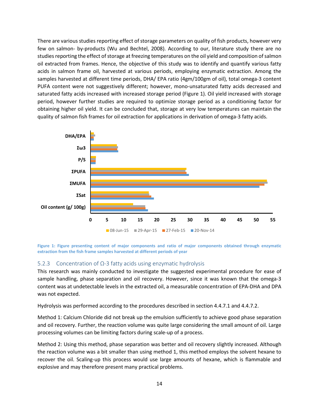There are various studies reporting effect of storage parameters on quality of fish products, however very few on salmon- by-products (Wu and Bechtel, 2008). According to our, literature study there are no studies reporting the effect of storage at freezing temperatures on the oil yield and composition of salmon oil extracted from frames. Hence, the objective of this study was to identify and quantify various fatty acids in salmon frame oil, harvested at various periods, employing enzymatic extraction. Among the samples harvested at different time periods, DHA/ EPA ratio (4gm/100gm of oil), total omega-3 content PUFA content were not suggestively different; however, mono-unsaturated fatty acids decreased and saturated fatty acids increased with increased storage period (Figure 1). Oil yield increased with storage period, however further studies are required to optimize storage period as a conditioning factor for obtaining higher oil yield. It can be concluded that, storage at very low temperatures can maintain the quality of salmon fish frames for oil extraction for applications in derivation of omega-3 fatty acids.



**Figure 1: Figure presenting content of major components and ratio of major components obtained through enzymatic extraction from the fish frame samples harvested at different periods of year**

#### 5.2.3 Concentration of Ω-3 fatty acids using enzymatic hydrolysis

This research was mainly conducted to investigate the suggested experimental procedure for ease of sample handling, phase separation and oil recovery. However, since it was known that the omega-3 content was at undetectable levels in the extracted oil, a measurable concentration of EPA-DHA and DPA was not expected.

Hydrolysis was performed according to the procedures described in section 4.4.7.1 and 4.4.7.2.

Method 1: Calcium Chloride did not break up the emulsion sufficiently to achieve good phase separation and oil recovery. Further, the reaction volume was quite large considering the small amount of oil. Large processing volumes can be limiting factors during scale-up of a process.

Method 2: Using this method, phase separation was better and oil recovery slightly increased. Although the reaction volume was a bit smaller than using method 1, this method employs the solvent hexane to recover the oil. Scaling-up this process would use large amounts of hexane, which is flammable and explosive and may therefore present many practical problems.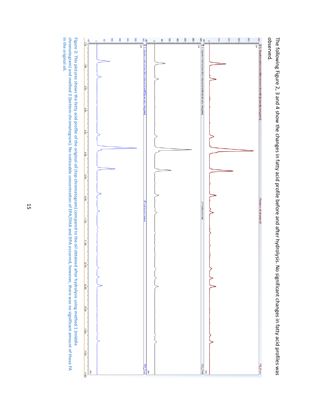

observed. The following Figure 2, 3 and 4 show the changes in fatty acid profile before and after hydrolysis. No significant changes in fatty acid profiles was observed. The following Figure 2, 3 and 4 show the changes in fatty acid profile before and after hydrolysis. No significant changes in fatty acid profiles was

in the original oil. chromatogram) and method 2 (bottom chromatogram). No noticeable concentration of EPA/DHA and DPA occurred, however, there was no significant amount of those FA Figure 2: This pictures shows the fatty acid profile of the original oil (top chromatogram) compared to the oil obtained after hydrolysis using method 1 (middle **in the original oil.chromatogram) and method 2 (bottom chromatogram). No noticeable concentration of EPA/DHA and DPA occurred, 2: This pictures shows the fatty acid profile of the original oil (top chromatogram) compared to the oil obtained after hydrolysis using method 1 (middle however, there was no significant amount of those FA**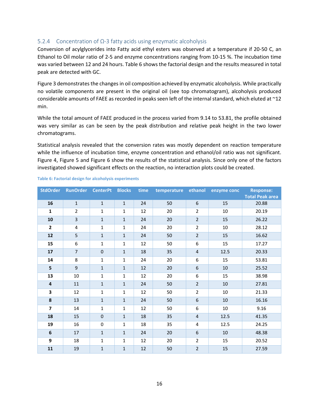#### 5.2.4 Concentration of Ω-3 fatty acids using enzymatic alcoholysis

Conversion of acylglycerides into Fatty acid ethyl esters was observed at a temperature if 20-50 C, an Ethanol to Oil molar ratio of 2-5 and enzyme concentrations ranging from 10-15 %. The incubation time was varied between 12 and 24 hours. Table 6 shows the factorial design and the results measured in total peak are detected with GC.

Figure 3 demonstrates the changes in oil composition achieved by enzymatic alcoholysis. While practically no volatile components are present in the original oil (see top chromatogram), alcoholysis produced considerable amounts of FAEE as recorded in peaks seen left of the internal standard, which eluted at ~12 min.

While the total amount of FAEE produced in the process varied from 9.14 to 53.81, the profile obtained was very similar as can be seen by the peak distribution and relative peak height in the two lower chromatograms.

Statistical analysis revealed that the conversion rates was mostly dependent on reaction temperature while the influence of incubation time, enzyme concentration and ethanol/oil ratio was not significant. Figure 4, Figure 5 and Figure 6 show the results of the statistical analysis. Since only one of the factors investigated showed significant effects on the reaction, no interaction plots could be created.

| <b>StdOrder</b>         | <b>RunOrder</b>         | <b>CenterPt</b> | <b>Blocks</b>  | time | temperature | ethanol        | enzyme conc | <b>Response:</b><br><b>Total Peak area</b> |
|-------------------------|-------------------------|-----------------|----------------|------|-------------|----------------|-------------|--------------------------------------------|
| 16                      | $\mathbf{1}$            | $\mathbf{1}$    | $\mathbf{1}$   | 24   | 50          | 6              | 15          | 20.88                                      |
| $\mathbf{1}$            | $\overline{2}$          | $\mathbf 1$     | 1              | 12   | 20          | $\overline{2}$ | 10          | 20.19                                      |
| ${\bf 10}$              | $\overline{\mathbf{3}}$ | $\mathbf{1}$    | $1\,$          | 24   | 20          | $\overline{2}$ | 15          | 26.22                                      |
| $\overline{2}$          | 4                       | $\mathbf{1}$    | 1              | 24   | 20          | $\overline{2}$ | 10          | 28.12                                      |
| 12                      | 5                       | $\mathbf{1}$    | $1\,$          | 24   | 50          | $\overline{2}$ | 15          | 16.62                                      |
| 15                      | 6                       | $\mathbf{1}$    | $\mathbf{1}$   | 12   | 50          | 6              | 15          | 17.27                                      |
| 17                      | $\overline{7}$          | $\pmb{0}$       | $\mathbf{1}$   | 18   | 35          | $\overline{4}$ | 12.5        | 20.33                                      |
| 14                      | 8                       | $\mathbf{1}$    | $\mathbf{1}$   | 24   | 20          | 6              | 15          | 53.81                                      |
| 5                       | $\mathsf g$             | $\mathbf{1}$    | $1\,$          | 12   | 20          | 6              | $10\,$      | 25.52                                      |
| 13                      | 10                      | $\mathbf{1}$    | $\mathbf{1}$   | 12   | 20          | 6              | 15          | 38.98                                      |
| $\overline{\mathbf{4}}$ | 11                      | $\mathbf{1}$    | $\mathbf{1}$   | 24   | 50          | $\overline{2}$ | 10          | 27.81                                      |
| 3                       | 12                      | $\mathbf{1}$    | 1              | 12   | 50          | $\overline{2}$ | 10          | 21.33                                      |
| 8                       | 13                      | $\mathbf{1}$    | $1\,$          | 24   | 50          | 6              | 10          | 16.16                                      |
| $\overline{\mathbf{z}}$ | 14                      | $\mathbf{1}$    | $\mathbf{1}$   | 12   | 50          | 6              | 10          | 9.16                                       |
| 18                      | 15                      | $\mathbf 0$     | $\mathbf{1}$   | 18   | 35          | $\overline{4}$ | 12.5        | 41.35                                      |
| 19                      | 16                      | $\pmb{0}$       | $\mathbf{1}$   | 18   | 35          | 4              | 12.5        | 24.25                                      |
| $\boldsymbol{6}$        | 17                      | $\mathbf{1}$    | $\mathbf{1}$   | 24   | 20          | 6              | $10\,$      | 48.38                                      |
| 9                       | 18                      | $\mathbf{1}$    | $\mathbf{1}$   | 12   | 20          | $\overline{2}$ | 15          | 20.52                                      |
| 11                      | 19                      | $\mathbf{1}$    | $\overline{1}$ | 12   | 50          | $\overline{2}$ | 15          | 27.59                                      |

#### **Table 6: Factorial design for alcoholysis experiments**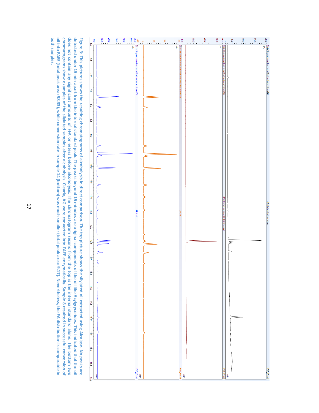

both samples. oil into FAEE (total peak area: 58.33), while conversion rate in sample 14 (bottom) was much smaller (total peak area: 9.17). Nevertheless, the FA distribution is comparable in chromatograms show examples of the silylated samples after alcoholysis. Clearly, AG were converted into FAEE enzymatically. Sample 8 resulted in successful conversion of does not contain any significant amounts of FFA or esters before alcoholysis. The chromatogram second from the top is the internal standard alone. The bottom two detected under 15 min apart from the internal standard peak. The peaks beyond 15 minutes are original components of the oil like Acylgrycerides. This indicated that the oil Figure 3: This pictures shows the resulting chromatograms of alcoholysis in direct comparison. The top picture shows the silylated oil extracted using Alcalase. No peaks are **both samples.oil into FAEE (total peak area: 58.33), while conversion rate in sample 14 (bottom) was much smaller (total peak area: 9.17). chromatograms show examples of the silylated samples after alcoholysis. Clearly, AG were converted into FAEE enzymatically. Sample 8 resulted in successful conversion of does not contain any significant amounts of FFA or esters before alcoholysis. The chromatogram second from the top is the internal standard alone. The bottom two**  detected under 15 min apart from the internal standard peak. The peaks beyond 15 minutes are original components of the oil like Acylgrycerides. This indicated that the oil **Figure 3: This pictures shows the resulting chromatograms of alcoholysis in direct comparison. The top picture shows the silylated oil extracted using Alcalase. No peaks are Nevertheless, the FA distribution is comparable in**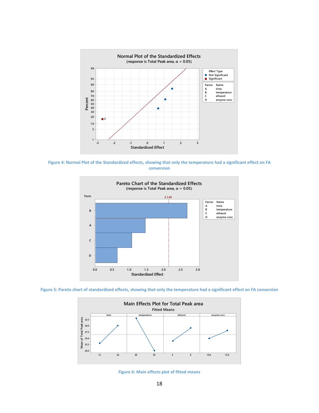

**Figure 4: Normal Plot of the Standardized effects, showing that only the temperature had a significant effect on FA conversion**



**Figure 5: Pareto chart of standardized effects, showing that only the temperature had a significant effect on FA conversion**



**Figure 6: Main effects plot of fitted means**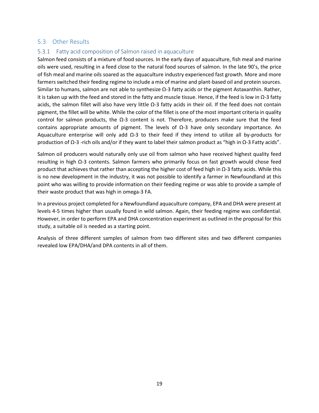#### 5.3 Other Results

#### 5.3.1 Fatty acid composition of Salmon raised in aquaculture

Salmon feed consists of a mixture of food sources. In the early days of aquaculture, fish meal and marine oils were used, resulting in a feed close to the natural food sources of salmon. In the late 90's, the price of fish meal and marine oils soared as the aquaculture industry experienced fast growth. More and more farmers switched their feeding regime to include a mix of marine and plant-based oil and protein sources. Similar to humans, salmon are not able to synthesize Ω-3 fatty acids or the pigment Astaxanthin. Rather, it is taken up with the feed and stored in the fatty and muscle tissue. Hence, if the feed is low in Ω-3 fatty acids, the salmon fillet will also have very little Ω-3 fatty acids in their oil. If the feed does not contain pigment, the fillet will be white. While the color of the fillet is one of the most important criteria in quality control for salmon products, the Ω-3 content is not. Therefore, producers make sure that the feed contains appropriate amounts of pigment. The levels of  $Ω-3$  have only secondary importance. An Aquaculture enterprise will only add Ω-3 to their feed if they intend to utilize all by-products for production of Ω-3 -rich oils and/or if they want to label their salmon product as "high in Ω-3 Fatty acids".

Salmon oil producers would naturally only use oil from salmon who have received highest quality feed resulting in high Ω-3 contents. Salmon farmers who primarily focus on fast growth would chose feed product that achieves that rather than accepting the higher cost of feed high in Ω-3 fatty acids. While this is no new development in the industry, it was not possible to identify a farmer in Newfoundland at this point who was willing to provide information on their feeding regime or was able to provide a sample of their waste product that was high in omega-3 FA.

In a previous project completed for a Newfoundland aquaculture company, EPA and DHA were present at levels 4-5 times higher than usually found in wild salmon. Again, their feeding regime was confidential. However, in order to perform EPA and DHA concentration experiment as outlined in the proposal for this study, a suitable oil is needed as a starting point.

Analysis of three different samples of salmon from two different sites and two different companies revealed low EPA/DHA/and DPA contents in all of them.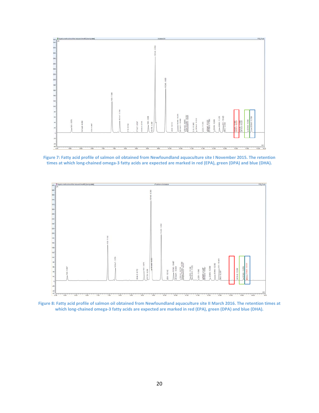

**Figure 7: Fatty acid profile of salmon oil obtained from Newfoundland aquaculture site I November 2015. The retention times at which long-chained omega-3 fatty acids are expected are marked in red (EPA), green (DPA) and blue (DHA).** 



**Figure 8: Fatty acid profile of salmon oil obtained from Newfoundland aquaculture site II March 2016. The retention times at which long-chained omega-3 fatty acids are expected are marked in red (EPA), green (DPA) and blue (DHA).**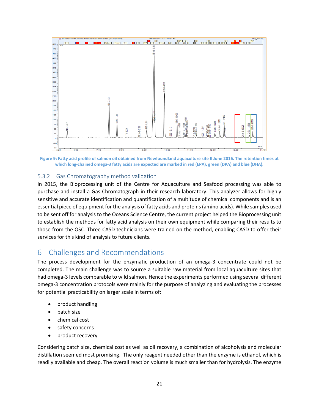

**Figure 9: Fatty acid profile of salmon oil obtained from Newfoundland aquaculture site II June 2016. The retention times at which long-chained omega-3 fatty acids are expected are marked in red (EPA), green (DPA) and blue (DHA).**

#### 5.3.2 Gas Chromatography method validation

In 2015, the Bioprocessing unit of the Centre for Aquaculture and Seafood processing was able to purchase and install a Gas Chromatograph in their research laboratory. This analyzer allows for highly sensitive and accurate identification and quantification of a multitude of chemical components and is an essential piece of equipment for the analysis of fatty acids and proteins (amino acids). While samples used to be sent off for analysis to the Oceans Science Centre, the current project helped the Bioprocessing unit to establish the methods for fatty acid analysis on their own equipment while comparing their results to those from the OSC. Three CASD technicians were trained on the method, enabling CASD to offer their services for this kind of analysis to future clients.

## 6 Challenges and Recommendations

The process development for the enzymatic production of an omega-3 concentrate could not be completed. The main challenge was to source a suitable raw material from local aquaculture sites that had omega-3 levels comparable to wild salmon. Hence the experiments performed using several different omega-3 concentration protocols were mainly for the purpose of analyzing and evaluating the processes for potential practicability on larger scale in terms of:

- product handling
- batch size
- chemical cost
- safety concerns
- product recovery

Considering batch size, chemical cost as well as oil recovery, a combination of alcoholysis and molecular distillation seemed most promising. The only reagent needed other than the enzyme is ethanol, which is readily available and cheap. The overall reaction volume is much smaller than for hydrolysis. The enzyme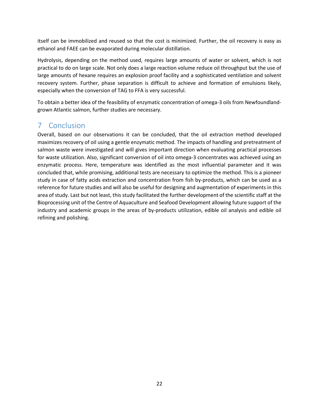itself can be immobilized and reused so that the cost is minimized. Further, the oil recovery is easy as ethanol and FAEE can be evaporated during molecular distillation.

Hydrolysis, depending on the method used, requires large amounts of water or solvent, which is not practical to do on large scale. Not only does a large reaction volume reduce oil throughput but the use of large amounts of hexane requires an explosion proof facility and a sophisticated ventilation and solvent recovery system. Further, phase separation is difficult to achieve and formation of emulsions likely, especially when the conversion of TAG to FFA is very successful.

To obtain a better idea of the feasibility of enzymatic concentration of omega-3 oils from Newfoundlandgrown Atlantic salmon, further studies are necessary.

# 7 Conclusion

Overall, based on our observations it can be concluded, that the oil extraction method developed maximizes recovery of oil using a gentle enzymatic method. The impacts of handling and pretreatment of salmon waste were investigated and will gives important direction when evaluating practical processes for waste utilization. Also, significant conversion of oil into omega-3 concentrates was achieved using an enzymatic process. Here, temperature was identified as the most influential parameter and it was concluded that, while promising, additional tests are necessary to optimize the method. This is a pioneer study in case of fatty acids extraction and concentration from fish by-products, which can be used as a reference for future studies and will also be useful for designing and augmentation of experiments in this area of study. Last but not least, this study facilitated the further development of the scientific staff at the Bioprocessing unit of the Centre of Aquaculture and Seafood Development allowing future support of the industry and academic groups in the areas of by-products utilization, edible oil analysis and edible oil refining and polishing.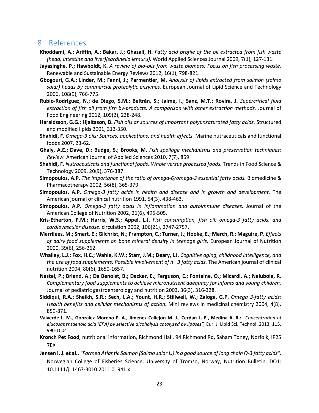## 8 References

- **Khoddami, A.; Ariffin, A.; Bakar, J.; Ghazali, H.** *Fatty acid profile of the oil extracted from fish waste (head, intestine and liver)(sardinella lemuru).* World Applied Sciences Journal 2009, 7(1), 127-131.
- **Jayasinghe, P.; Hawboldt, K.** *A review of bio-oils from waste biomass: Focus on fish processing waste.* Renewable and Sustainable Energy Reviews 2012, 16(1), 798-821.
- **Gbogouri, G.A.; Linder, M.; Fanni, J.; Parmentier, M.** *Analysis of lipids extracted from salmon (salmo salar) heads by commercial proteolytic enzymes.* European Journal of Lipid Science and Technology 2006, 108(9), 766-775.
- **Rubio-Rodríguez, N.; de Diego, S.M.; Beltrán, S.; Jaime, I.; Sanz, M.T.; Rovira, J.** *Supercritical fluid extraction of fish oil from fish by-products: A comparison with other extraction methods.* Journal of Food Engineering 2012, 109(2), 238-248.
- **Haraldsson, G.G.; Hjaltason, B.** *Fish oils as sources of important polyunsaturated fatty acids.* Structured and modified lipids 2001, 313-350.
- **Shahidi, F.** *Omega-3 oils: Sources, applications, and health effects.* Marine nutraceuticals and functional foods 2007, 23-62.
- **Ghaly, A.E.; Dave, D.; Budge, S.; Brooks, M.** *Fish spoilage mechanisms and preservation techniques: Review.* American Journal of Applied Sciences 2010, 7(7), 859.
- **Shahidi, F.** *Nutraceuticals and functional foods: Whole versus processed foods.* Trends in Food Science & Technology 2009, 20(9), 376-387.
- **Simopoulos, A.P.** *The importance of the ratio of omega-6/omega-3 essential fatty acids.* Biomedicine & Pharmacotherapy 2002, 56(8), 365-379.
- **Simopoulos, A.P.** *Omega-3 fatty acids in health and disease and in growth and development.* The American journal of clinical nutrition 1991, 54(3), 438-463.
- **Simopoulos, A.P.** *Omega-3 fatty acids in inflammation and autoimmune diseases.* Journal of the American College of Nutrition 2002, 21(6), 495-505.
- **Kris-Etherton, P.M.; Harris, W.S.; Appel, L.J.** *Fish consumption, fish oil, omega-3 fatty acids, and cardiovascular disease*. circulation 2002, 106(21), 2747-2757.
- **Merrilees, M.; Smart, E.; Gilchrist, N.; Frampton, C.; Turner, J.; Hooke, E.; March, R.; Maguire, P.** *Effects*  of dairy food supplements on bone mineral density in teenage girls. European Journal of Nutrition 2000, 39(6), 256-262.
- **Whalley, L.J.; Fox, H.C.; Wahle, K.W.; Starr, J.M.; Deary, I.J.** *Cognitive aging, childhood intelligence, and the use of food supplements: Possible involvement of n− 3 fatty acids.* The American journal of clinical nutrition 2004, 80(6), 1650-1657.
- **Nestel, P.; Briend, A.; De Benoist, B.; Decker, E.; Ferguson, E.; Fontaine, O.; Micardi, A.; Nalubola, R.**  *Complementary food supplements to achieve micronutrient adequacy for infants and young children.* Journal of pediatric gastroenterology and nutrition 2003, 36(3), 316-328.
- **Siddiqui, R.A.; Shaikh, S.R.; Sech, L.A.; Yount, H.R.; Stillwell, W.; Zaloga, G.P.** *Omega 3-fatty acids: Health benefits and cellular mechanisms of action.* Mini reviews in medicinal chemistry 2004, 4(8), 859-871.
- **Valverde L. M., Gonzalez Moreno P. A., Jimenez Callejon M. J., Cerdan L. E., Medina A. R.:** *"Concentration of eiucosapentaenoic acid (EPA) by selective alcoholysis catalyzed by lipases",* Eur. J. Lipid Sci. Technol. 2013, 115, 990-1004
- **Kronch Pet Food**, nutritional information, Richmond Hall, 94 Richmond Rd, Saham Toney, Norfolk, IP25 7EX
- **Jensen I. J. et al.**, *"Farmed Atlantic Salmon (Salmo salar L.) is a good source of long chain Ω-3 fatty acids",* Norwegian College of Fisheries Science, University of Tromso, Norway, Nutrition Bulletin, DO1: 10.1111/j. 1467-3010.2011.01941.x